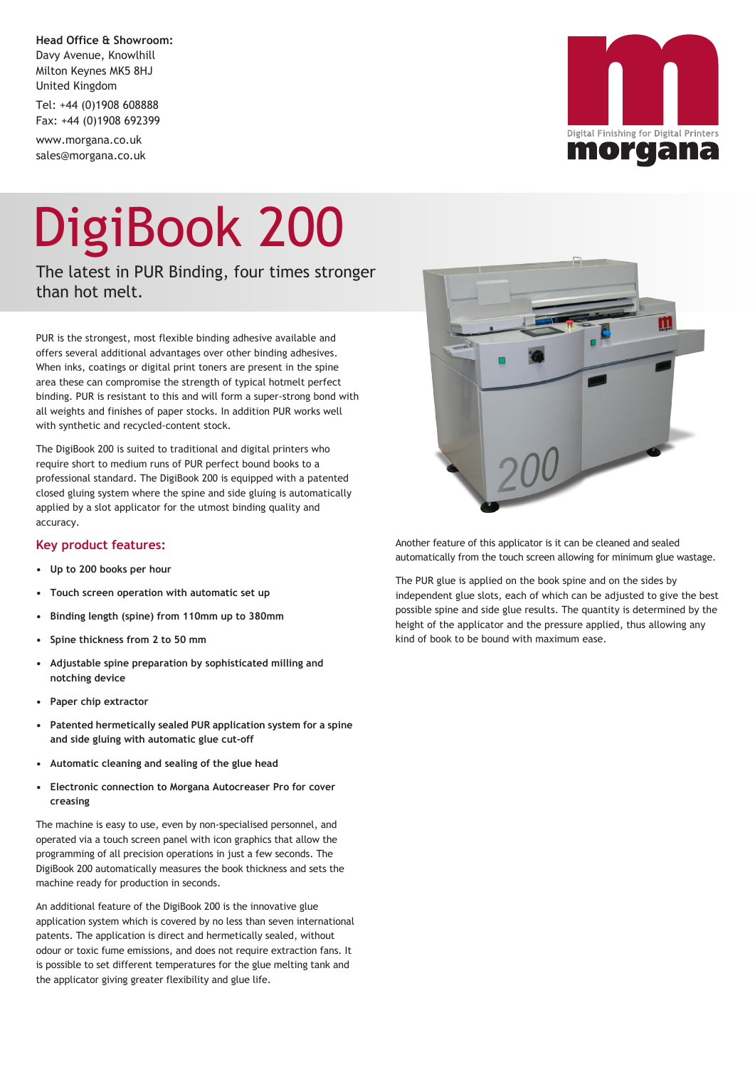**Head Office & Showroom:** Davy Avenue, Knowlhill Milton Keynes MK5 8HJ United Kingdom

Tel: +44 (0)1908 608888 Fax: +44 (0)1908 692399

www.morgana.co.uk sales@morgana.co.uk

# DigiBook 200

The latest in PUR Binding, four times stronger than hot melt.

PUR is the strongest, most flexible binding adhesive available and offers several additional advantages over other binding adhesives. When inks, coatings or digital print toners are present in the spine area these can compromise the strength of typical hotmelt perfect binding. PUR is resistant to this and will form a super-strong bond with all weights and finishes of paper stocks. In addition PUR works well with synthetic and recycled-content stock.

The DigiBook 200 is suited to traditional and digital printers who require short to medium runs of PUR perfect bound books to a professional standard. The DigiBook 200 is equipped with a patented closed gluing system where the spine and side gluing is automatically applied by a slot applicator for the utmost binding quality and accuracy.

### **Key product features:**

- **• Up to 200 books per hour**
- **• Touch screen operation with automatic set up**
- **• Binding length (spine) from 110mm up to 380mm**
- **• Spine thickness from 2 to 50 mm**
- **• Adjustable spine preparation by sophisticated milling and notching device**
- **• Paper chip extractor**
- **• Patented hermetically sealed PUR application system for a spine and side gluing with automatic glue cut-off**
- **• Automatic cleaning and sealing of the glue head**
- **• Electronic connection to Morgana Autocreaser Pro for cover creasing**

The machine is easy to use, even by non-specialised personnel, and operated via a touch screen panel with icon graphics that allow the programming of all precision operations in just a few seconds. The DigiBook 200 automatically measures the book thickness and sets the machine ready for production in seconds.

An additional feature of the DigiBook 200 is the innovative glue application system which is covered by no less than seven international patents. The application is direct and hermetically sealed, without odour or toxic fume emissions, and does not require extraction fans. It is possible to set different temperatures for the glue melting tank and the applicator giving greater flexibility and glue life.



Another feature of this applicator is it can be cleaned and sealed automatically from the touch screen allowing for minimum glue wastage.

The PUR glue is applied on the book spine and on the sides by independent glue slots, each of which can be adjusted to give the best possible spine and side glue results. The quantity is determined by the height of the applicator and the pressure applied, thus allowing any kind of book to be bound with maximum ease.



ΪL